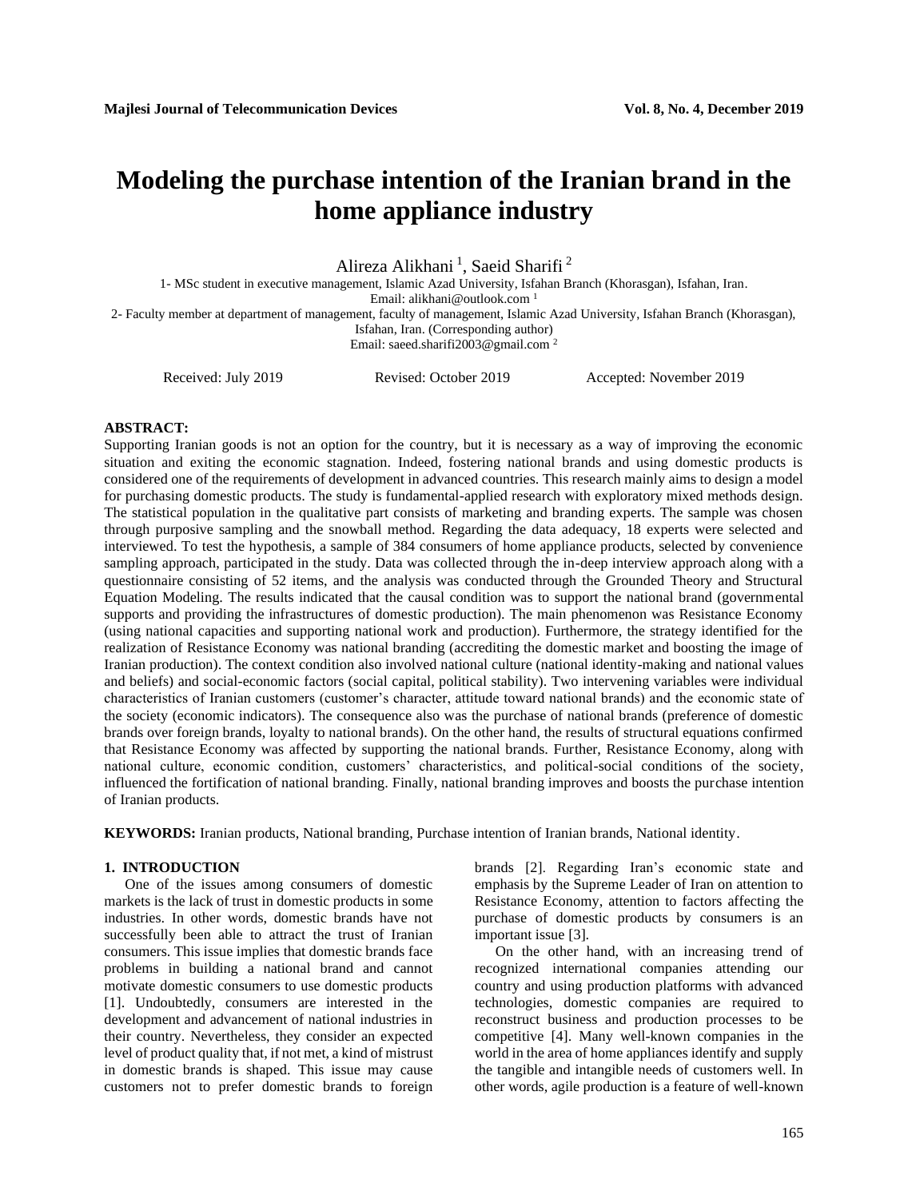# **Modeling the purchase intention of the Iranian brand in the home appliance industry**

Alireza Alikhani<sup>1</sup>, Saeid Sharifi<sup>2</sup>

1- MSc student in executive management, Islamic Azad University, Isfahan Branch (Khorasgan), Isfahan, Iran.

Email[: alikhani@outlook.com](mailto:alikhani@outlook.com)<sup>1</sup>

2- Faculty member at department of management, faculty of management, Islamic Azad University, Isfahan Branch (Khorasgan),

Isfahan, Iran. (Corresponding author)

Email[: saeed.sharifi2003@gmail.com](mailto:saeed.sharifi2003@gmail.com) <sup>2</sup>

Received: July 2019 Revised: October 2019 Accepted: November 2019

# **ABSTRACT:**

Supporting Iranian goods is not an option for the country, but it is necessary as a way of improving the economic situation and exiting the economic stagnation. Indeed, fostering national brands and using domestic products is considered one of the requirements of development in advanced countries. This research mainly aims to design a model for purchasing domestic products. The study is fundamental-applied research with exploratory mixed methods design. The statistical population in the qualitative part consists of marketing and branding experts. The sample was chosen through purposive sampling and the snowball method. Regarding the data adequacy, 18 experts were selected and interviewed. To test the hypothesis, a sample of 384 consumers of home appliance products, selected by convenience sampling approach, participated in the study. Data was collected through the in-deep interview approach along with a questionnaire consisting of 52 items, and the analysis was conducted through the Grounded Theory and Structural Equation Modeling. The results indicated that the causal condition was to support the national brand (governmental supports and providing the infrastructures of domestic production). The main phenomenon was Resistance Economy (using national capacities and supporting national work and production). Furthermore, the strategy identified for the realization of Resistance Economy was national branding (accrediting the domestic market and boosting the image of Iranian production). The context condition also involved national culture (national identity-making and national values and beliefs) and social-economic factors (social capital, political stability). Two intervening variables were individual characteristics of Iranian customers (customer's character, attitude toward national brands) and the economic state of the society (economic indicators). The consequence also was the purchase of national brands (preference of domestic brands over foreign brands, loyalty to national brands). On the other hand, the results of structural equations confirmed that Resistance Economy was affected by supporting the national brands. Further, Resistance Economy, along with national culture, economic condition, customers' characteristics, and political-social conditions of the society, influenced the fortification of national branding. Finally, national branding improves and boosts the purchase intention of Iranian products.

**KEYWORDS:** Iranian products, National branding, Purchase intention of Iranian brands, National identity.

### **1. INTRODUCTION**

One of the issues among consumers of domestic markets is the lack of trust in domestic products in some industries. In other words, domestic brands have not successfully been able to attract the trust of Iranian consumers. This issue implies that domestic brands face problems in building a national brand and cannot motivate domestic consumers to use domestic products [1]. Undoubtedly, consumers are interested in the development and advancement of national industries in their country. Nevertheless, they consider an expected level of product quality that, if not met, a kind of mistrust in domestic brands is shaped. This issue may cause customers not to prefer domestic brands to foreign

brands [2]. Regarding Iran's economic state and emphasis by the Supreme Leader of Iran on attention to Resistance Economy, attention to factors affecting the purchase of domestic products by consumers is an important issue [3].

On the other hand, with an increasing trend of recognized international companies attending our country and using production platforms with advanced technologies, domestic companies are required to reconstruct business and production processes to be competitive [4]. Many well-known companies in the world in the area of home appliances identify and supply the tangible and intangible needs of customers well. In other words, agile production is a feature of well-known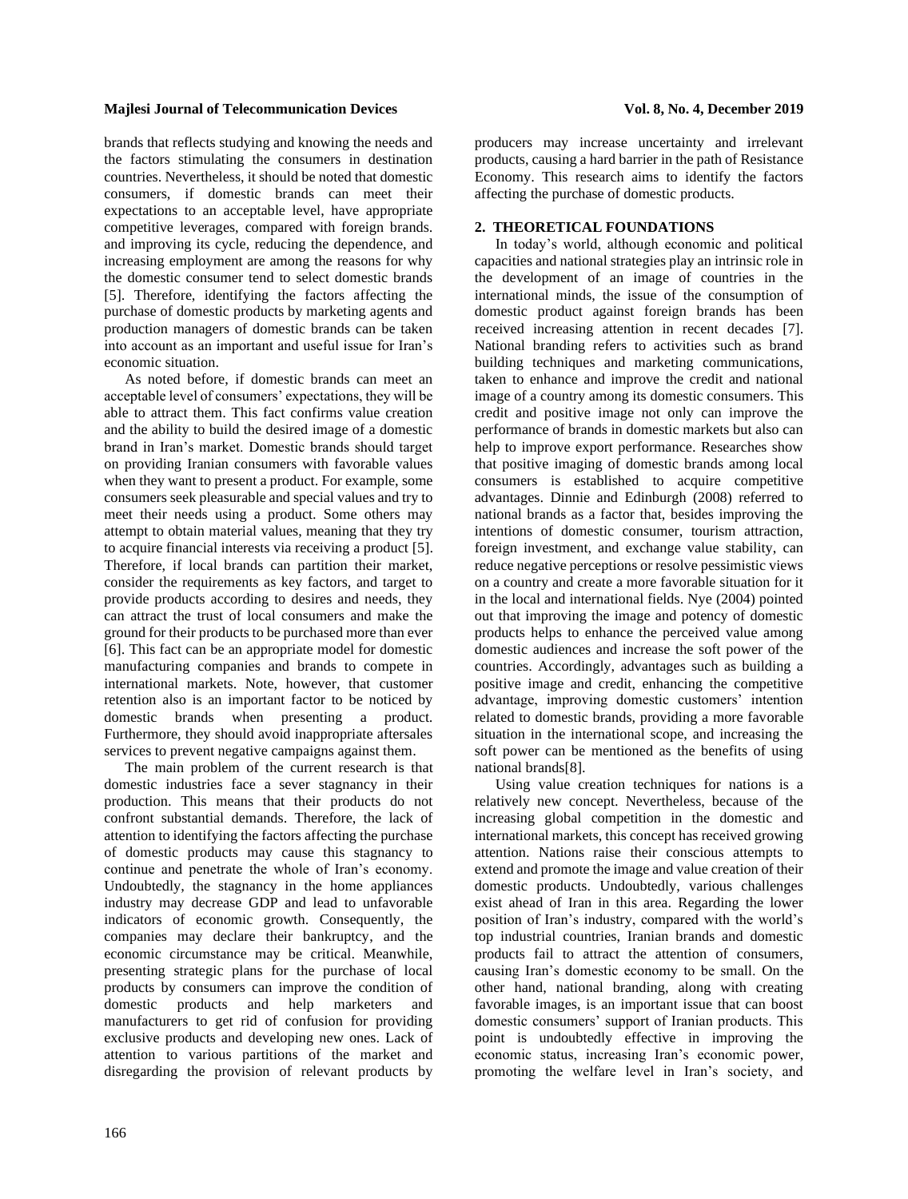brands that reflects studying and knowing the needs and the factors stimulating the consumers in destination countries. Nevertheless, it should be noted that domestic consumers, if domestic brands can meet their expectations to an acceptable level, have appropriate competitive leverages, compared with foreign brands. and improving its cycle, reducing the dependence, and increasing employment are among the reasons for why the domestic consumer tend to select domestic brands [5]. Therefore, identifying the factors affecting the purchase of domestic products by marketing agents and production managers of domestic brands can be taken into account as an important and useful issue for Iran's economic situation.

As noted before, if domestic brands can meet an acceptable level of consumers' expectations, they will be able to attract them. This fact confirms value creation and the ability to build the desired image of a domestic brand in Iran's market. Domestic brands should target on providing Iranian consumers with favorable values when they want to present a product. For example, some consumers seek pleasurable and special values and try to meet their needs using a product. Some others may attempt to obtain material values, meaning that they try to acquire financial interests via receiving a product [5]. Therefore, if local brands can partition their market, consider the requirements as key factors, and target to provide products according to desires and needs, they can attract the trust of local consumers and make the ground for their products to be purchased more than ever [6]. This fact can be an appropriate model for domestic manufacturing companies and brands to compete in international markets. Note, however, that customer retention also is an important factor to be noticed by domestic brands when presenting a product. Furthermore, they should avoid inappropriate aftersales services to prevent negative campaigns against them.

The main problem of the current research is that domestic industries face a sever stagnancy in their production. This means that their products do not confront substantial demands. Therefore, the lack of attention to identifying the factors affecting the purchase of domestic products may cause this stagnancy to continue and penetrate the whole of Iran's economy. Undoubtedly, the stagnancy in the home appliances industry may decrease GDP and lead to unfavorable indicators of economic growth. Consequently, the companies may declare their bankruptcy, and the economic circumstance may be critical. Meanwhile, presenting strategic plans for the purchase of local products by consumers can improve the condition of domestic products and help marketers and manufacturers to get rid of confusion for providing exclusive products and developing new ones. Lack of attention to various partitions of the market and disregarding the provision of relevant products by

producers may increase uncertainty and irrelevant products, causing a hard barrier in the path of Resistance Economy. This research aims to identify the factors affecting the purchase of domestic products.

# **2. THEORETICAL FOUNDATIONS**

In today's world, although economic and political capacities and national strategies play an intrinsic role in the development of an image of countries in the international minds, the issue of the consumption of domestic product against foreign brands has been received increasing attention in recent decades [7]. National branding refers to activities such as brand building techniques and marketing communications, taken to enhance and improve the credit and national image of a country among its domestic consumers. This credit and positive image not only can improve the performance of brands in domestic markets but also can help to improve export performance. Researches show that positive imaging of domestic brands among local consumers is established to acquire competitive advantages. Dinnie and Edinburgh (2008) referred to national brands as a factor that, besides improving the intentions of domestic consumer, tourism attraction, foreign investment, and exchange value stability, can reduce negative perceptions or resolve pessimistic views on a country and create a more favorable situation for it in the local and international fields. Nye (2004) pointed out that improving the image and potency of domestic products helps to enhance the perceived value among domestic audiences and increase the soft power of the countries. Accordingly, advantages such as building a positive image and credit, enhancing the competitive advantage, improving domestic customers' intention related to domestic brands, providing a more favorable situation in the international scope, and increasing the soft power can be mentioned as the benefits of using national brands[8].

Using value creation techniques for nations is a relatively new concept. Nevertheless, because of the increasing global competition in the domestic and international markets, this concept has received growing attention. Nations raise their conscious attempts to extend and promote the image and value creation of their domestic products. Undoubtedly, various challenges exist ahead of Iran in this area. Regarding the lower position of Iran's industry, compared with the world's top industrial countries, Iranian brands and domestic products fail to attract the attention of consumers, causing Iran's domestic economy to be small. On the other hand, national branding, along with creating favorable images, is an important issue that can boost domestic consumers' support of Iranian products. This point is undoubtedly effective in improving the economic status, increasing Iran's economic power, promoting the welfare level in Iran's society, and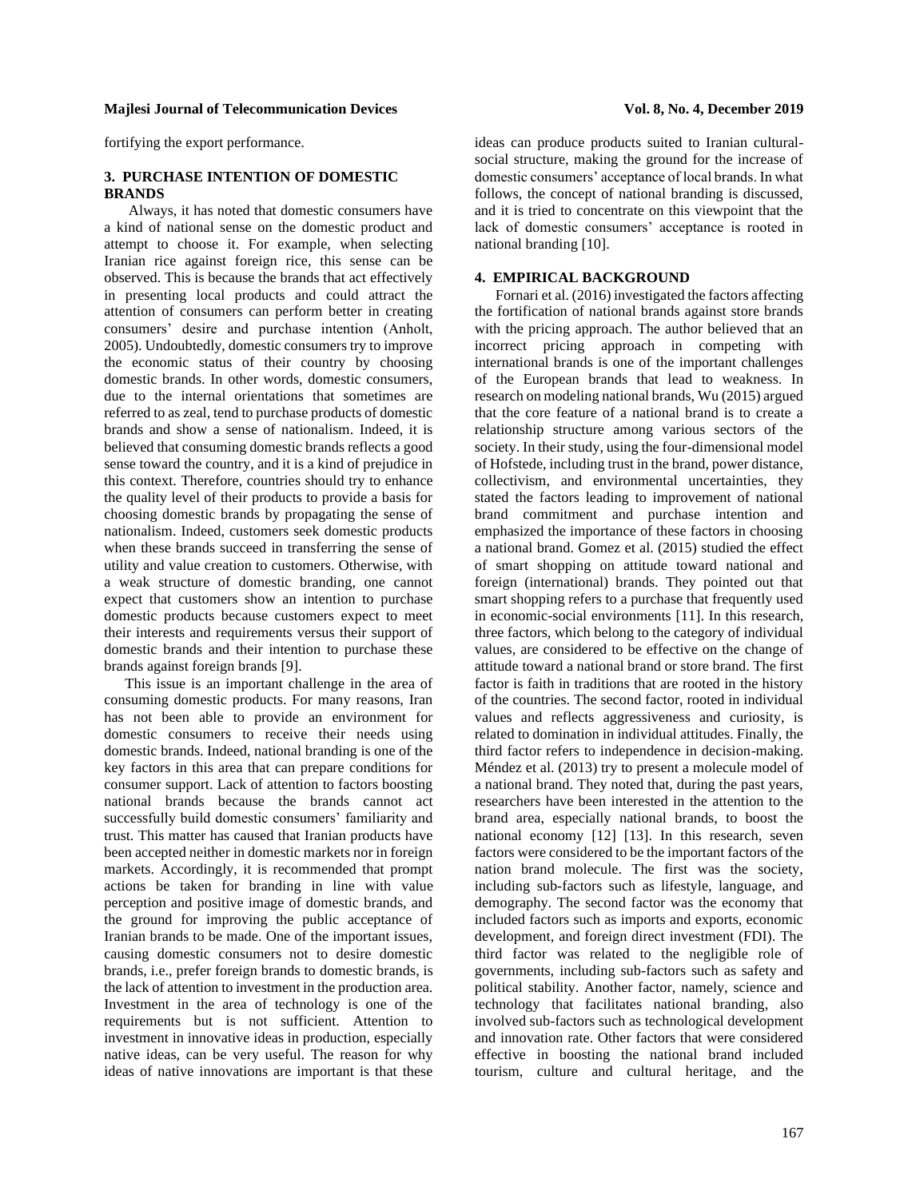fortifying the export performance.

# **3. PURCHASE INTENTION OF DOMESTIC BRANDS**

Always, it has noted that domestic consumers have a kind of national sense on the domestic product and attempt to choose it. For example, when selecting Iranian rice against foreign rice, this sense can be observed. This is because the brands that act effectively in presenting local products and could attract the attention of consumers can perform better in creating consumers' desire and purchase intention (Anholt, 2005). Undoubtedly, domestic consumers try to improve the economic status of their country by choosing domestic brands. In other words, domestic consumers, due to the internal orientations that sometimes are referred to as zeal, tend to purchase products of domestic brands and show a sense of nationalism. Indeed, it is believed that consuming domestic brands reflects a good sense toward the country, and it is a kind of prejudice in this context. Therefore, countries should try to enhance the quality level of their products to provide a basis for choosing domestic brands by propagating the sense of nationalism. Indeed, customers seek domestic products when these brands succeed in transferring the sense of utility and value creation to customers. Otherwise, with a weak structure of domestic branding, one cannot expect that customers show an intention to purchase domestic products because customers expect to meet their interests and requirements versus their support of domestic brands and their intention to purchase these brands against foreign brands [9].

This issue is an important challenge in the area of consuming domestic products. For many reasons, Iran has not been able to provide an environment for domestic consumers to receive their needs using domestic brands. Indeed, national branding is one of the key factors in this area that can prepare conditions for consumer support. Lack of attention to factors boosting national brands because the brands cannot act successfully build domestic consumers' familiarity and trust. This matter has caused that Iranian products have been accepted neither in domestic markets nor in foreign markets. Accordingly, it is recommended that prompt actions be taken for branding in line with value perception and positive image of domestic brands, and the ground for improving the public acceptance of Iranian brands to be made. One of the important issues, causing domestic consumers not to desire domestic brands, i.e., prefer foreign brands to domestic brands, is the lack of attention to investment in the production area. Investment in the area of technology is one of the requirements but is not sufficient. Attention to investment in innovative ideas in production, especially native ideas, can be very useful. The reason for why ideas of native innovations are important is that these

ideas can produce products suited to Iranian culturalsocial structure, making the ground for the increase of domestic consumers' acceptance of local brands. In what follows, the concept of national branding is discussed, and it is tried to concentrate on this viewpoint that the lack of domestic consumers' acceptance is rooted in national branding [10].

# **4. EMPIRICAL BACKGROUND**

Fornari et al. (2016) investigated the factors affecting the fortification of national brands against store brands with the pricing approach. The author believed that an incorrect pricing approach in competing with international brands is one of the important challenges of the European brands that lead to weakness. In research on modeling national brands, Wu (2015) argued that the core feature of a national brand is to create a relationship structure among various sectors of the society. In their study, using the four-dimensional model of Hofstede, including trust in the brand, power distance, collectivism, and environmental uncertainties, they stated the factors leading to improvement of national brand commitment and purchase intention and emphasized the importance of these factors in choosing a national brand. Gomez et al. (2015) studied the effect of smart shopping on attitude toward national and foreign (international) brands. They pointed out that smart shopping refers to a purchase that frequently used in economic-social environments [11]. In this research, three factors, which belong to the category of individual values, are considered to be effective on the change of attitude toward a national brand or store brand. The first factor is faith in traditions that are rooted in the history of the countries. The second factor, rooted in individual values and reflects aggressiveness and curiosity, is related to domination in individual attitudes. Finally, the third factor refers to independence in decision-making. Méndez et al. (2013) try to present a molecule model of a national brand. They noted that, during the past years, researchers have been interested in the attention to the brand area, especially national brands, to boost the national economy [12] [13]. In this research, seven factors were considered to be the important factors of the nation brand molecule. The first was the society, including sub-factors such as lifestyle, language, and demography. The second factor was the economy that included factors such as imports and exports, economic development, and foreign direct investment (FDI). The third factor was related to the negligible role of governments, including sub-factors such as safety and political stability. Another factor, namely, science and technology that facilitates national branding, also involved sub-factors such as technological development and innovation rate. Other factors that were considered effective in boosting the national brand included tourism, culture and cultural heritage, and the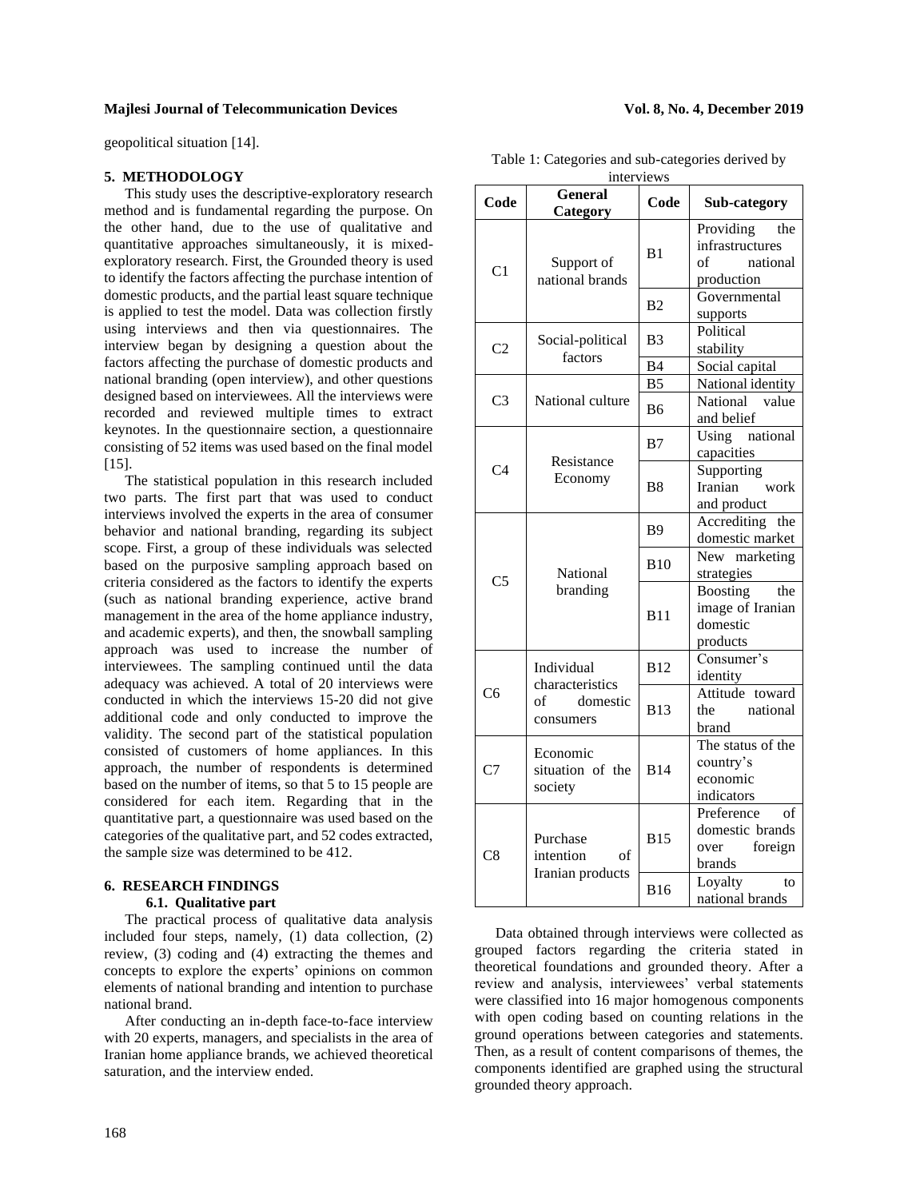geopolitical situation [14].

### **5. METHODOLOGY**

This study uses the descriptive-exploratory research method and is fundamental regarding the purpose. On the other hand, due to the use of qualitative and quantitative approaches simultaneously, it is mixedexploratory research. First, the Grounded theory is used to identify the factors affecting the purchase intention of domestic products, and the partial least square technique is applied to test the model. Data was collection firstly using interviews and then via questionnaires. The interview began by designing a question about the factors affecting the purchase of domestic products and national branding (open interview), and other questions designed based on interviewees. All the interviews were recorded and reviewed multiple times to extract keynotes. In the questionnaire section, a questionnaire consisting of 52 items was used based on the final model [15].

The statistical population in this research included two parts. The first part that was used to conduct interviews involved the experts in the area of consumer behavior and national branding, regarding its subject scope. First, a group of these individuals was selected based on the purposive sampling approach based on criteria considered as the factors to identify the experts (such as national branding experience, active brand management in the area of the home appliance industry, and academic experts), and then, the snowball sampling approach was used to increase the number of interviewees. The sampling continued until the data adequacy was achieved. A total of 20 interviews were conducted in which the interviews 15-20 did not give additional code and only conducted to improve the validity. The second part of the statistical population consisted of customers of home appliances. In this approach, the number of respondents is determined based on the number of items, so that 5 to 15 people are considered for each item. Regarding that in the quantitative part, a questionnaire was used based on the categories of the qualitative part, and 52 codes extracted, the sample size was determined to be 412.

# **6. RESEARCH FINDINGS 6.1. Qualitative part**

The practical process of qualitative data analysis included four steps, namely, (1) data collection, (2) review, (3) coding and (4) extracting the themes and concepts to explore the experts' opinions on common elements of national branding and intention to purchase national brand.

After conducting an in-depth face-to-face interview with 20 experts, managers, and specialists in the area of Iranian home appliance brands, we achieved theoretical saturation, and the interview ended.

Table 1: Categories and sub-categories derived by interviews

| interviews     |                                                 |                |                                                                     |  |  |  |  |
|----------------|-------------------------------------------------|----------------|---------------------------------------------------------------------|--|--|--|--|
| Code           | <b>General</b><br>Category                      | Code           | Sub-category                                                        |  |  |  |  |
| C <sub>1</sub> | Support of<br>national brands                   | B1             | Providing<br>the<br>infrastructures<br>national<br>of<br>production |  |  |  |  |
|                |                                                 | B <sub>2</sub> | Governmental<br>supports                                            |  |  |  |  |
| C <sub>2</sub> | Social-political<br>factors                     | B3             | Political<br>stability                                              |  |  |  |  |
|                |                                                 | B <sub>4</sub> | Social capital                                                      |  |  |  |  |
|                | National culture                                | B <sub>5</sub> | National identity                                                   |  |  |  |  |
| C <sub>3</sub> |                                                 | B6             | National<br>value<br>and belief                                     |  |  |  |  |
| C <sub>4</sub> | Resistance<br>Economy                           | B7             | Using<br>national<br>capacities                                     |  |  |  |  |
|                |                                                 | B <sub>8</sub> | Supporting<br>Iranian<br>work<br>and product                        |  |  |  |  |
| C <sub>5</sub> | National<br>branding                            | <b>B</b> 9     | Accrediting the<br>domestic market                                  |  |  |  |  |
|                |                                                 | <b>B10</b>     | New marketing<br>strategies                                         |  |  |  |  |
|                |                                                 | <b>B11</b>     | <b>Boosting</b><br>the<br>image of Iranian<br>domestic<br>products  |  |  |  |  |
|                | Individual                                      | <b>B12</b>     | Consumer's<br>identity                                              |  |  |  |  |
| C <sub>6</sub> | characteristics<br>of<br>domestic<br>consumers  | <b>B13</b>     | Attitude toward<br>the<br>national<br>brand                         |  |  |  |  |
| C7             | Economic<br>situation of the<br>society         | <b>B14</b>     | The status of the<br>country's<br>economic<br>indicators            |  |  |  |  |
| C8             | Purchase<br>intention<br>of<br>Iranian products | <b>B15</b>     | Preference<br>of<br>domestic brands<br>foreign<br>over<br>brands    |  |  |  |  |
|                |                                                 | <b>B16</b>     | Loyalty<br>to<br>national brands                                    |  |  |  |  |

Data obtained through interviews were collected as grouped factors regarding the criteria stated in theoretical foundations and grounded theory. After a review and analysis, interviewees' verbal statements were classified into 16 major homogenous components with open coding based on counting relations in the ground operations between categories and statements. Then, as a result of content comparisons of themes, the components identified are graphed using the structural grounded theory approach.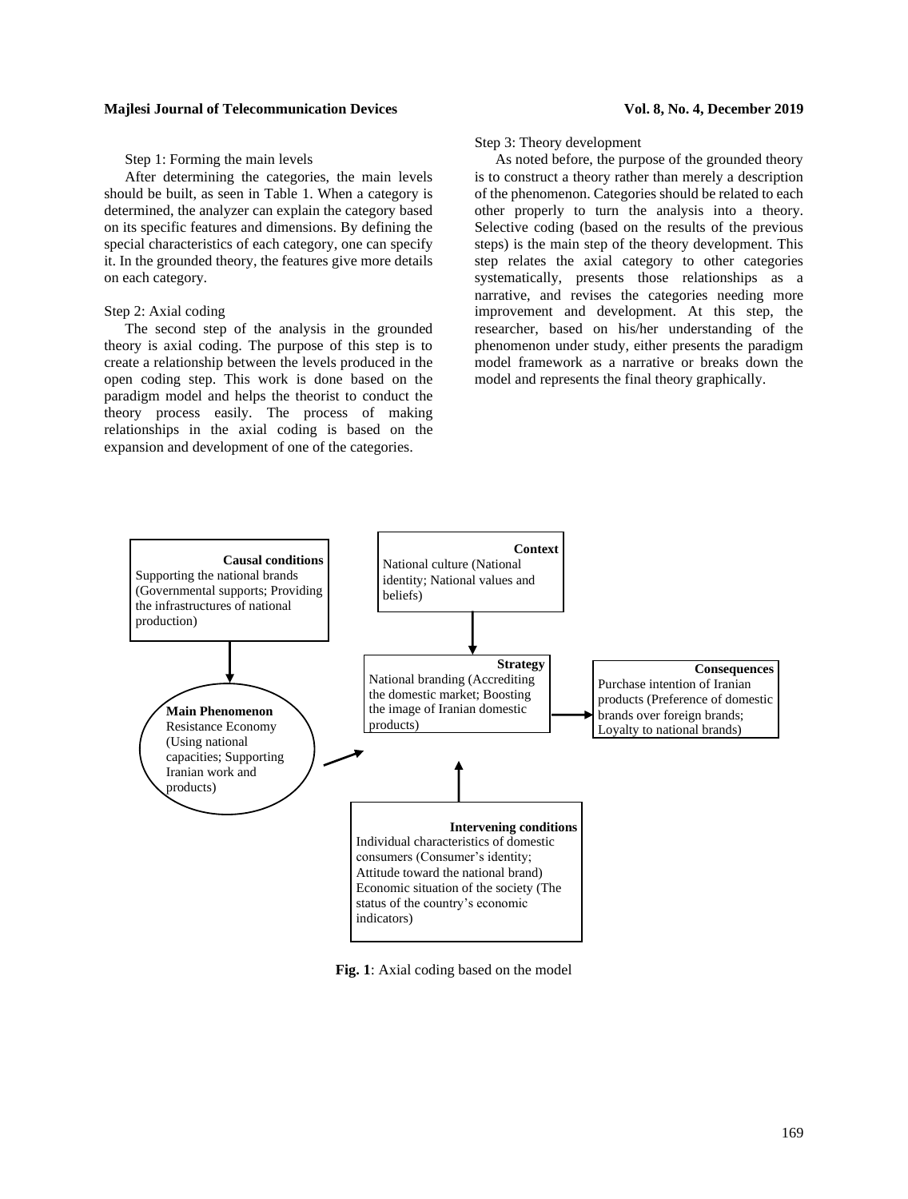### Step 1: Forming the main levels

After determining the categories, the main levels should be built, as seen in Table 1. When a category is determined, the analyzer can explain the category based on its specific features and dimensions. By defining the special characteristics of each category, one can specify it. In the grounded theory, the features give more details on each category.

# Step 2: Axial coding

The second step of the analysis in the grounded theory is axial coding. The purpose of this step is to create a relationship between the levels produced in the open coding step. This work is done based on the paradigm model and helps the theorist to conduct the theory process easily. The process of making relationships in the axial coding is based on the expansion and development of one of the categories.

# Step 3: Theory development

As noted before, the purpose of the grounded theory is to construct a theory rather than merely a description of the phenomenon. Categories should be related to each other properly to turn the analysis into a theory. Selective coding (based on the results of the previous steps) is the main step of the theory development. This step relates the axial category to other categories systematically, presents those relationships as a narrative, and revises the categories needing more improvement and development. At this step, the researcher, based on his/her understanding of the phenomenon under study, either presents the paradigm model framework as a narrative or breaks down the model and represents the final theory graphically.



**Fig. 1**: Axial coding based on the model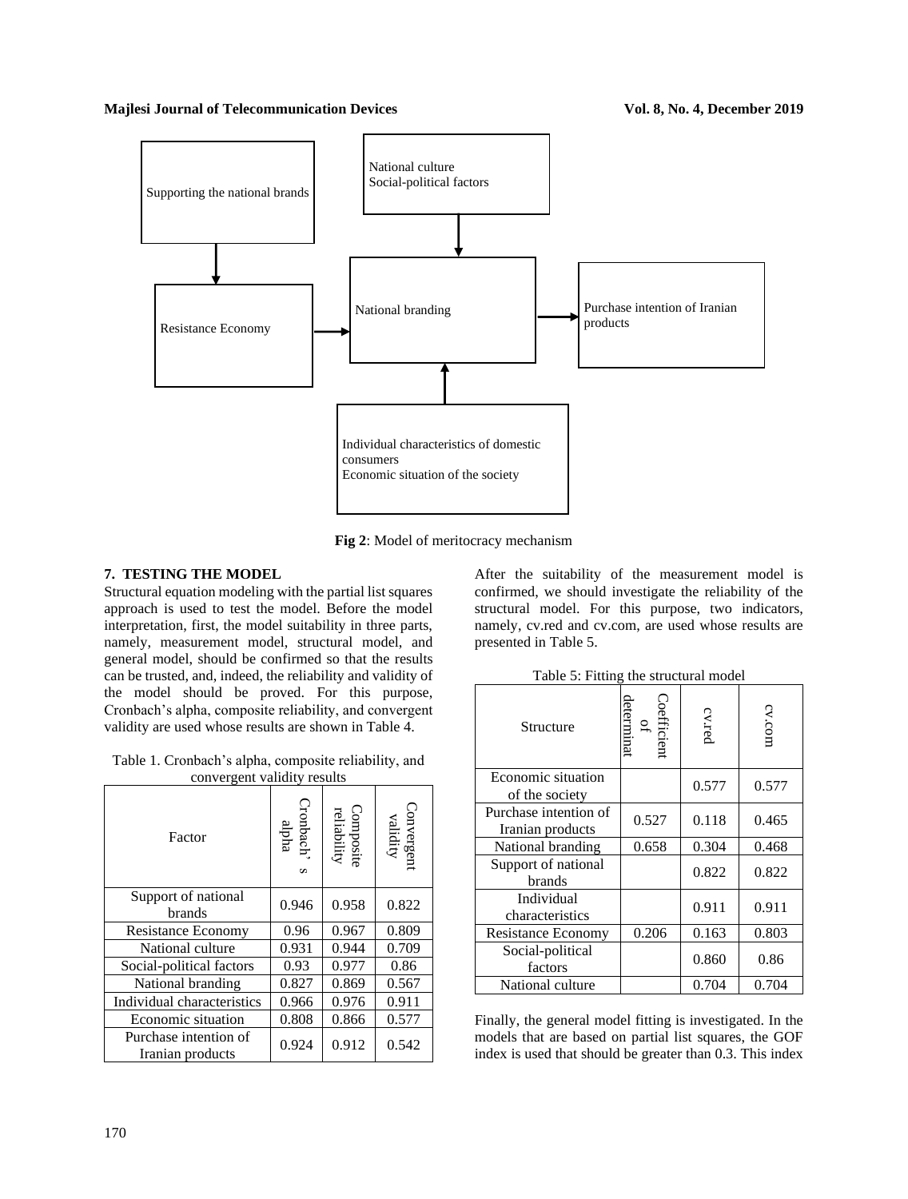

**Fig 2**: Model of meritocracy mechanism

# **7. TESTING THE MODEL**

Structural equation modeling with the partial list squares approach is used to test the model. Before the model interpretation, first, the model suitability in three parts, namely, measurement model, structural model, and general model, should be confirmed so that the results can be trusted, and, indeed, the reliability and validity of the model should be proved. For this purpose, Cronbach's alpha, composite reliability, and convergent validity are used whose results are shown in Table 4.

Table 1. Cronbach's alpha, composite reliability, and convergent validity results

| Factor                                    | ronbach'<br>alpha<br>S | $\begin{array}{c} \text{Composit} \\ \text{reliability} \end{array}$ | Convergent<br>validity |
|-------------------------------------------|------------------------|----------------------------------------------------------------------|------------------------|
| Support of national<br>brands             | 0.946                  | 0.958                                                                | 0.822                  |
| <b>Resistance Economy</b>                 | 0.96                   | 0.967                                                                | 0.809                  |
| National culture                          | 0.931                  | 0.944                                                                | 0.709                  |
| Social-political factors                  | 0.93                   | 0.977                                                                | 0.86                   |
| National branding                         | 0.827                  | 0.869                                                                | 0.567                  |
| Individual characteristics                | 0.966                  | 0.976                                                                | 0.911                  |
| Economic situation                        | 0.808                  | 0.866                                                                | 0.577                  |
| Purchase intention of<br>Iranian products | 0.924                  | 0.912                                                                | 0.542                  |

After the suitability of the measurement model is confirmed, we should investigate the reliability of the structural model. For this purpose, two indicators, namely, cv.red and cv.com, are used whose results are presented in Table 5.

|  | Table 5: Fitting the structural model |
|--|---------------------------------------|
|--|---------------------------------------|

| Structure                                 | determinat<br>oefficient | cv.red | cv.com |
|-------------------------------------------|--------------------------|--------|--------|
| Economic situation<br>of the society      |                          | 0.577  | 0.577  |
| Purchase intention of<br>Iranian products | 0.527                    | 0.118  | 0.465  |
| National branding                         | 0.658                    | 0.304  | 0.468  |
| Support of national<br>brands             |                          | 0.822  | 0.822  |
| Individual<br>characteristics             |                          | 0.911  | 0.911  |
| Resistance Economy                        | 0.206                    | 0.163  | 0.803  |
| Social-political<br>factors               |                          | 0.860  | 0.86   |
| National culture                          |                          | 0.704  | 0.704  |

Finally, the general model fitting is investigated. In the models that are based on partial list squares, the GOF index is used that should be greater than 0.3. This index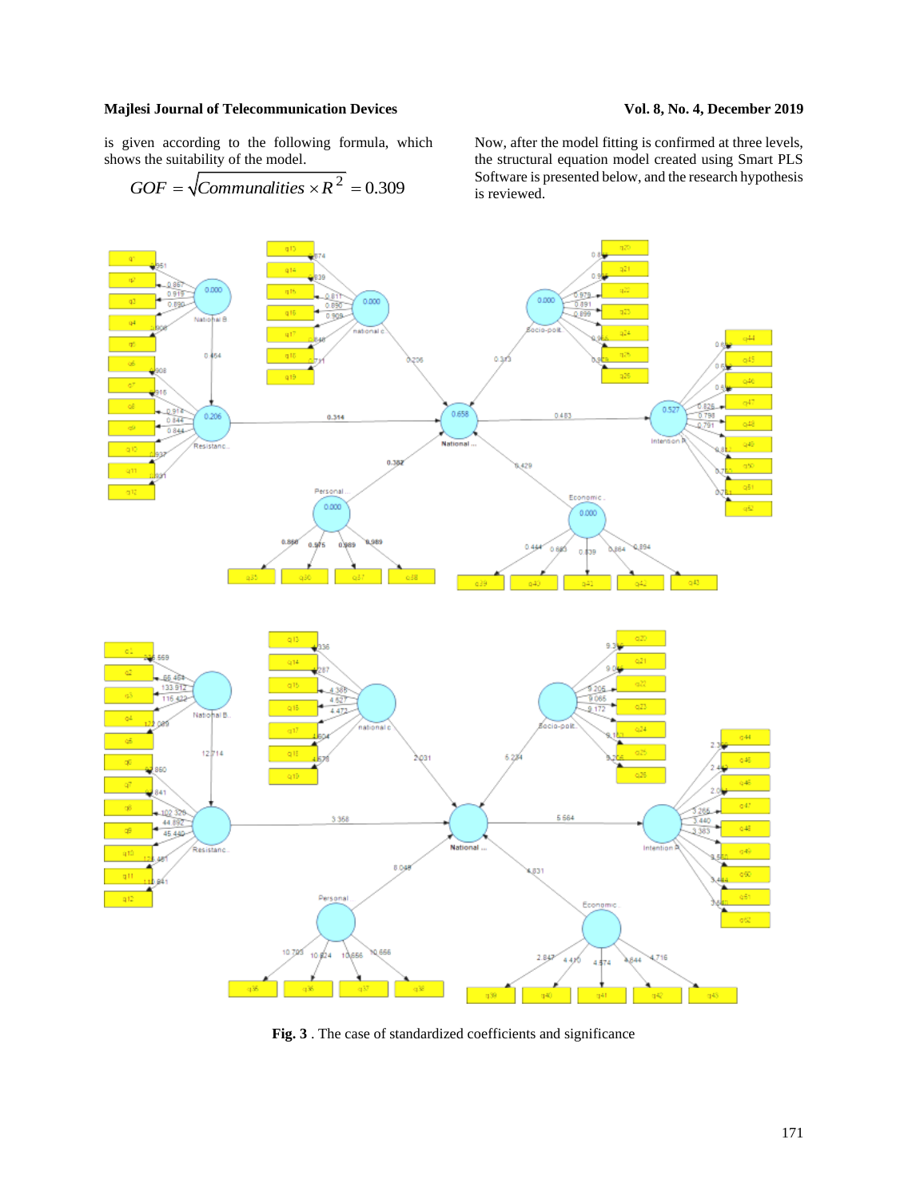is given according to the following formula, which shows the suitability of the model.

$$
GOF = \sqrt{Communic. \times R^2} = 0.309
$$

Now, after the model fitting is confirmed at three levels, the structural equation model created using Smart PLS Software is presented below, and the research hypothesis is reviewed.



**Fig. 3** . The case of standardized coefficients and significance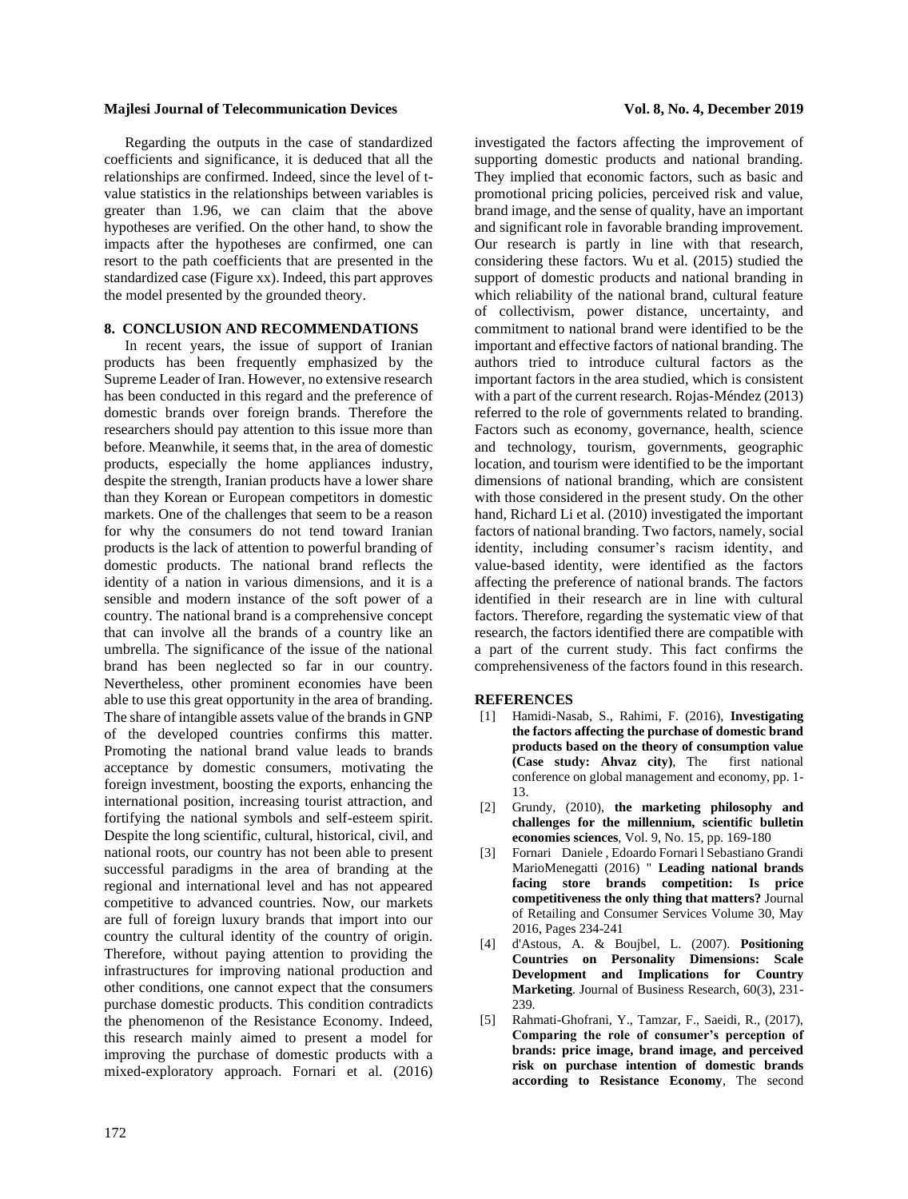Regarding the outputs in the case of standardized coefficients and significance, it is deduced that all the relationships are confirmed. Indeed, since the level of tvalue statistics in the relationships between variables is greater than 1.96, we can claim that the above hypotheses are verified. On the other hand, to show the impacts after the hypotheses are confirmed, one can resort to the path coefficients that are presented in the standardized case (Figure xx). Indeed, this part approves the model presented by the grounded theory.

# **8. CONCLUSION AND RECOMMENDATIONS**

In recent years, the issue of support of Iranian products has been frequently emphasized by the Supreme Leader of Iran. However, no extensive research has been conducted in this regard and the preference of domestic brands over foreign brands. Therefore the researchers should pay attention to this issue more than before. Meanwhile, it seems that, in the area of domestic products, especially the home appliances industry, despite the strength, Iranian products have a lower share than they Korean or European competitors in domestic markets. One of the challenges that seem to be a reason for why the consumers do not tend toward Iranian products is the lack of attention to powerful branding of domestic products. The national brand reflects the identity of a nation in various dimensions, and it is a sensible and modern instance of the soft power of a country. The national brand is a comprehensive concept that can involve all the brands of a country like an umbrella. The significance of the issue of the national brand has been neglected so far in our country. Nevertheless, other prominent economies have been able to use this great opportunity in the area of branding. The share of intangible assets value of the brands in GNP of the developed countries confirms this matter. Promoting the national brand value leads to brands acceptance by domestic consumers, motivating the foreign investment, boosting the exports, enhancing the international position, increasing tourist attraction, and fortifying the national symbols and self-esteem spirit. Despite the long scientific, cultural, historical, civil, and national roots, our country has not been able to present successful paradigms in the area of branding at the regional and international level and has not appeared competitive to advanced countries. Now, our markets are full of foreign luxury brands that import into our country the cultural identity of the country of origin. Therefore, without paying attention to providing the infrastructures for improving national production and other conditions, one cannot expect that the consumers purchase domestic products. This condition contradicts the phenomenon of the Resistance Economy. Indeed, this research mainly aimed to present a model for improving the purchase of domestic products with a mixed-exploratory approach. Fornari et al. (2016)

investigated the factors affecting the improvement of supporting domestic products and national branding. They implied that economic factors, such as basic and promotional pricing policies, perceived risk and value, brand image, and the sense of quality, have an important and significant role in favorable branding improvement. Our research is partly in line with that research, considering these factors. Wu et al. (2015) studied the support of domestic products and national branding in which reliability of the national brand, cultural feature of collectivism, power distance, uncertainty, and commitment to national brand were identified to be the important and effective factors of national branding. The authors tried to introduce cultural factors as the important factors in the area studied, which is consistent with a part of the current research. Rojas-Méndez (2013) referred to the role of governments related to branding. Factors such as economy, governance, health, science and technology, tourism, governments, geographic location, and tourism were identified to be the important dimensions of national branding, which are consistent with those considered in the present study. On the other hand, Richard Li et al. (2010) investigated the important factors of national branding. Two factors, namely, social identity, including consumer's racism identity, and value-based identity, were identified as the factors affecting the preference of national brands. The factors identified in their research are in line with cultural factors. Therefore, regarding the systematic view of that research, the factors identified there are compatible with a part of the current study. This fact confirms the comprehensiveness of the factors found in this research.

#### **REFERENCES**

- [1] Hamidi-Nasab, S., Rahimi, F. (2016), **Investigating the factors affecting the purchase of domestic brand products based on the theory of consumption value (Case study: Ahvaz city)**, The conference on global management and economy, pp. 1- 13.
- [2] Grundy, (2010), **the marketing philosophy and challenges for the millennium, scientific bulletin economies sciences**, Vol. 9, No. 15, pp. 169-180
- [3] Fornari Daniele , Edoardo Fornari l Sebastiano Grandi MarioMenegatti (2016) " **Leading national brands facing store brands competition: Is price competitiveness the only thing that matters?** Journal of Retailing and Consumer Services Volume 30, May 2016, Pages 234-241
- [4] d'Astous, A. & Boujbel, L. (2007). **Positioning Countries on Personality Dimensions: Scale Development and Implications for Country Marketing**. Journal of Business Research, 60(3), 231- 239.
- [5] Rahmati-Ghofrani, Y., Tamzar, F., Saeidi, R., (2017), **Comparing the role of consumer's perception of brands: price image, brand image, and perceived risk on purchase intention of domestic brands according to Resistance Economy**, The second